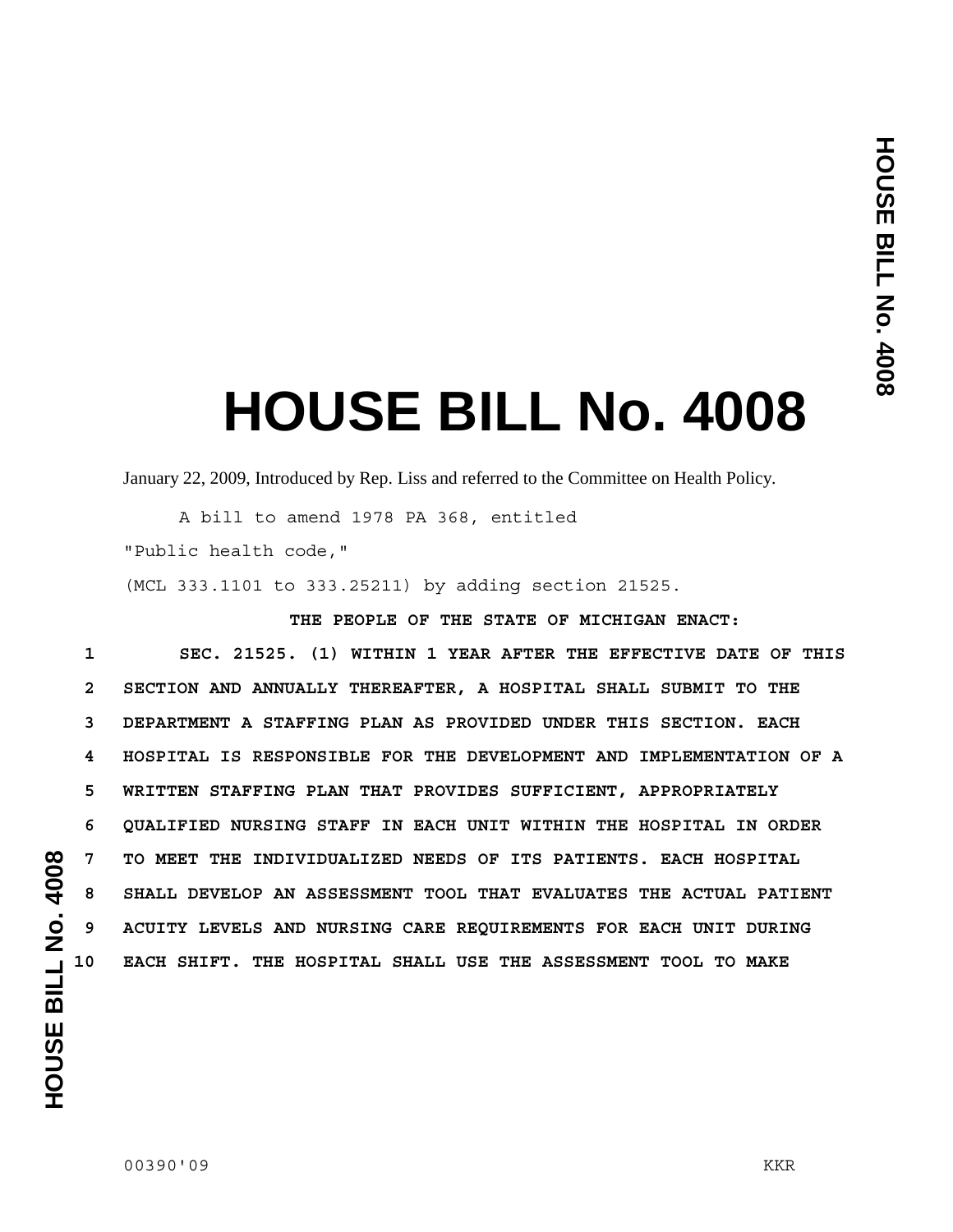## **HOUSE BILL No. 4008**

January 22, 2009, Introduced by Rep. Liss and referred to the Committee on Health Policy.

 A bill to amend 1978 PA 368, entitled "Public health code,"

(MCL 333.1101 to 333.25211) by adding section 21525.

**THE PEOPLE OF THE STATE OF MICHIGAN ENACT:** 

**1 SEC. 21525. (1) WITHIN 1 YEAR AFTER THE EFFECTIVE DATE OF THIS 2 SECTION AND ANNUALLY THEREAFTER, A HOSPITAL SHALL SUBMIT TO THE 3 DEPARTMENT A STAFFING PLAN AS PROVIDED UNDER THIS SECTION. EACH 4 HOSPITAL IS RESPONSIBLE FOR THE DEVELOPMENT AND IMPLEMENTATION OF A 5 WRITTEN STAFFING PLAN THAT PROVIDES SUFFICIENT, APPROPRIATELY 6 QUALIFIED NURSING STAFF IN EACH UNIT WITHIN THE HOSPITAL IN ORDER 7 TO MEET THE INDIVIDUALIZED NEEDS OF ITS PATIENTS. EACH HOSPITAL 8 SHALL DEVELOP AN ASSESSMENT TOOL THAT EVALUATES THE ACTUAL PATIENT 9 ACUITY LEVELS AND NURSING CARE REQUIREMENTS FOR EACH UNIT DURING 10 EACH SHIFT. THE HOSPITAL SHALL USE THE ASSESSMENT TOOL TO MAKE**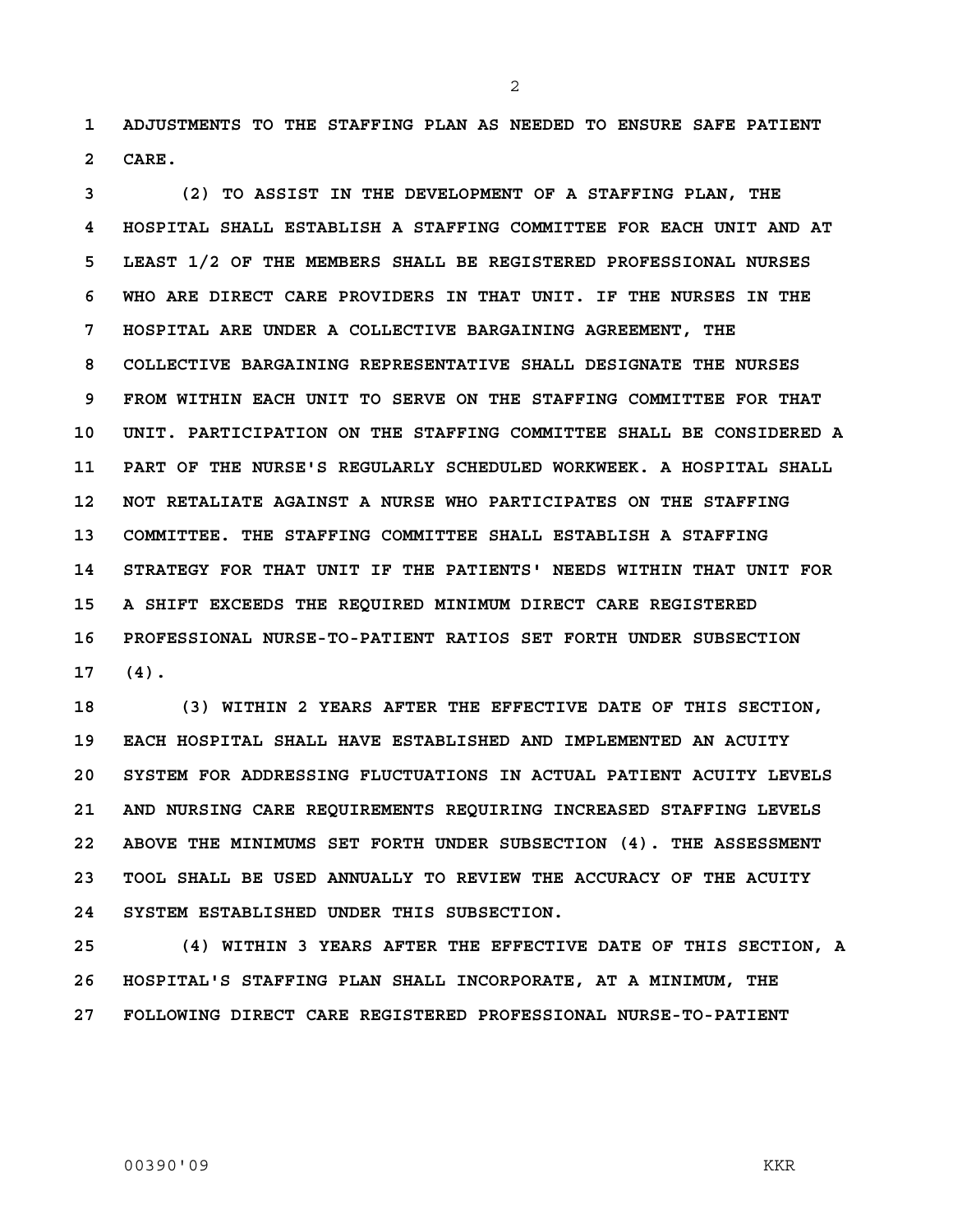**1 ADJUSTMENTS TO THE STAFFING PLAN AS NEEDED TO ENSURE SAFE PATIENT 2 CARE.** 

**3 (2) TO ASSIST IN THE DEVELOPMENT OF A STAFFING PLAN, THE 4 HOSPITAL SHALL ESTABLISH A STAFFING COMMITTEE FOR EACH UNIT AND AT 5 LEAST 1/2 OF THE MEMBERS SHALL BE REGISTERED PROFESSIONAL NURSES 6 WHO ARE DIRECT CARE PROVIDERS IN THAT UNIT. IF THE NURSES IN THE 7 HOSPITAL ARE UNDER A COLLECTIVE BARGAINING AGREEMENT, THE 8 COLLECTIVE BARGAINING REPRESENTATIVE SHALL DESIGNATE THE NURSES 9 FROM WITHIN EACH UNIT TO SERVE ON THE STAFFING COMMITTEE FOR THAT 10 UNIT. PARTICIPATION ON THE STAFFING COMMITTEE SHALL BE CONSIDERED A 11 PART OF THE NURSE'S REGULARLY SCHEDULED WORKWEEK. A HOSPITAL SHALL 12 NOT RETALIATE AGAINST A NURSE WHO PARTICIPATES ON THE STAFFING 13 COMMITTEE. THE STAFFING COMMITTEE SHALL ESTABLISH A STAFFING 14 STRATEGY FOR THAT UNIT IF THE PATIENTS' NEEDS WITHIN THAT UNIT FOR 15 A SHIFT EXCEEDS THE REQUIRED MINIMUM DIRECT CARE REGISTERED 16 PROFESSIONAL NURSE-TO-PATIENT RATIOS SET FORTH UNDER SUBSECTION 17 (4).** 

**18 (3) WITHIN 2 YEARS AFTER THE EFFECTIVE DATE OF THIS SECTION, 19 EACH HOSPITAL SHALL HAVE ESTABLISHED AND IMPLEMENTED AN ACUITY 20 SYSTEM FOR ADDRESSING FLUCTUATIONS IN ACTUAL PATIENT ACUITY LEVELS 21 AND NURSING CARE REQUIREMENTS REQUIRING INCREASED STAFFING LEVELS 22 ABOVE THE MINIMUMS SET FORTH UNDER SUBSECTION (4). THE ASSESSMENT 23 TOOL SHALL BE USED ANNUALLY TO REVIEW THE ACCURACY OF THE ACUITY 24 SYSTEM ESTABLISHED UNDER THIS SUBSECTION.** 

**25 (4) WITHIN 3 YEARS AFTER THE EFFECTIVE DATE OF THIS SECTION, A 26 HOSPITAL'S STAFFING PLAN SHALL INCORPORATE, AT A MINIMUM, THE 27 FOLLOWING DIRECT CARE REGISTERED PROFESSIONAL NURSE-TO-PATIENT** 

2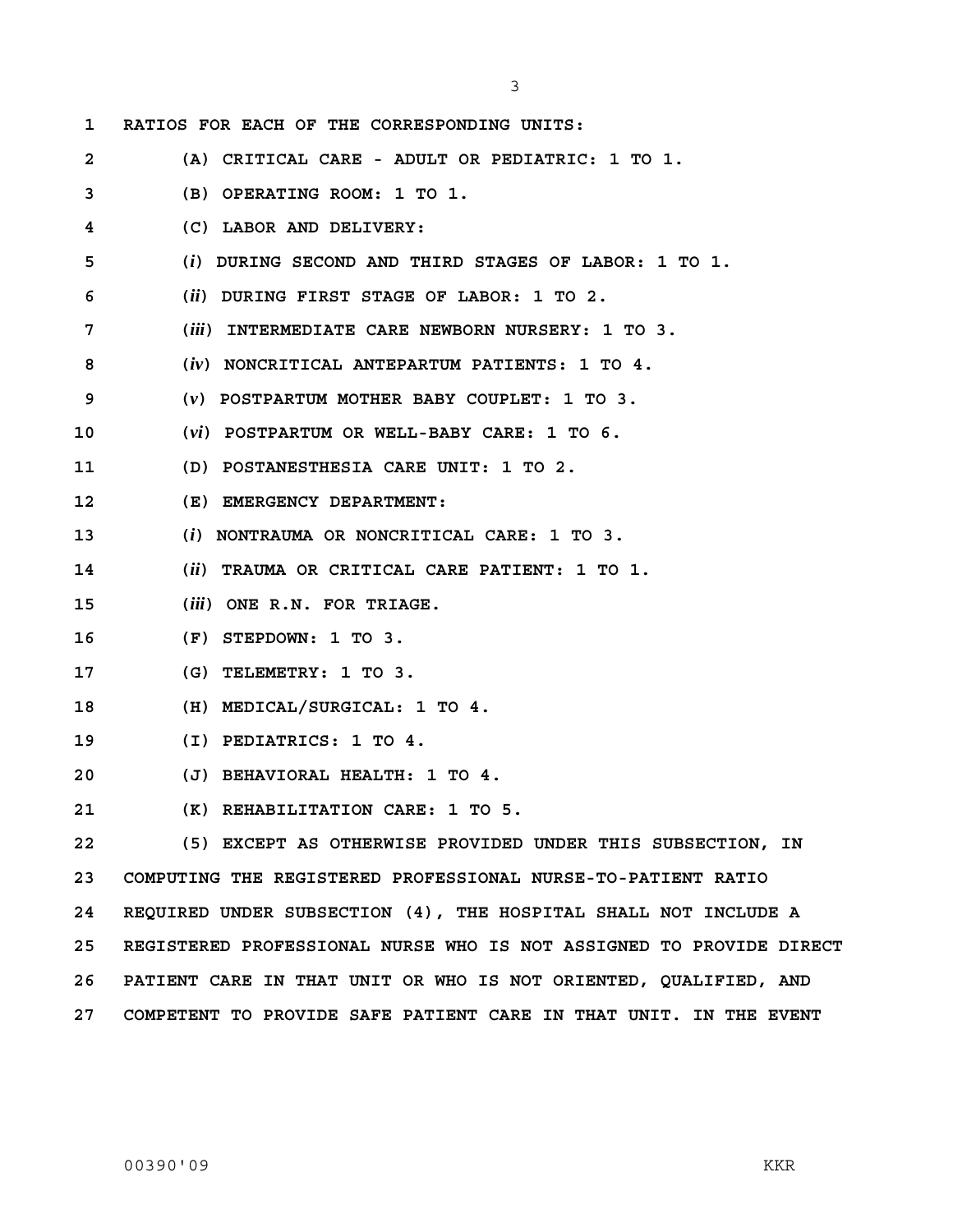**1 RATIOS FOR EACH OF THE CORRESPONDING UNITS: 2 (A) CRITICAL CARE - ADULT OR PEDIATRIC: 1 TO 1. 3 (B) OPERATING ROOM: 1 TO 1. 4 (C) LABOR AND DELIVERY: 5 (***i***) DURING SECOND AND THIRD STAGES OF LABOR: 1 TO 1. 6 (***ii***) DURING FIRST STAGE OF LABOR: 1 TO 2. 7 (***iii***) INTERMEDIATE CARE NEWBORN NURSERY: 1 TO 3. 8 (***iv***) NONCRITICAL ANTEPARTUM PATIENTS: 1 TO 4. 9 (***v***) POSTPARTUM MOTHER BABY COUPLET: 1 TO 3. 10 (***vi***) POSTPARTUM OR WELL-BABY CARE: 1 TO 6. 11 (D) POSTANESTHESIA CARE UNIT: 1 TO 2. 12 (E) EMERGENCY DEPARTMENT: 13 (***i***) NONTRAUMA OR NONCRITICAL CARE: 1 TO 3. 14 (***ii***) TRAUMA OR CRITICAL CARE PATIENT: 1 TO 1. 15 (***iii***) ONE R.N. FOR TRIAGE. 16 (F) STEPDOWN: 1 TO 3. 17 (G) TELEMETRY: 1 TO 3. 18 (H) MEDICAL/SURGICAL: 1 TO 4. 19 (I) PEDIATRICS: 1 TO 4. 20 (J) BEHAVIORAL HEALTH: 1 TO 4. 21 (K) REHABILITATION CARE: 1 TO 5. 22 (5) EXCEPT AS OTHERWISE PROVIDED UNDER THIS SUBSECTION, IN 23 COMPUTING THE REGISTERED PROFESSIONAL NURSE-TO-PATIENT RATIO 24 REQUIRED UNDER SUBSECTION (4), THE HOSPITAL SHALL NOT INCLUDE A 25 REGISTERED PROFESSIONAL NURSE WHO IS NOT ASSIGNED TO PROVIDE DIRECT 26 PATIENT CARE IN THAT UNIT OR WHO IS NOT ORIENTED, QUALIFIED, AND** 

3

**27 COMPETENT TO PROVIDE SAFE PATIENT CARE IN THAT UNIT. IN THE EVENT**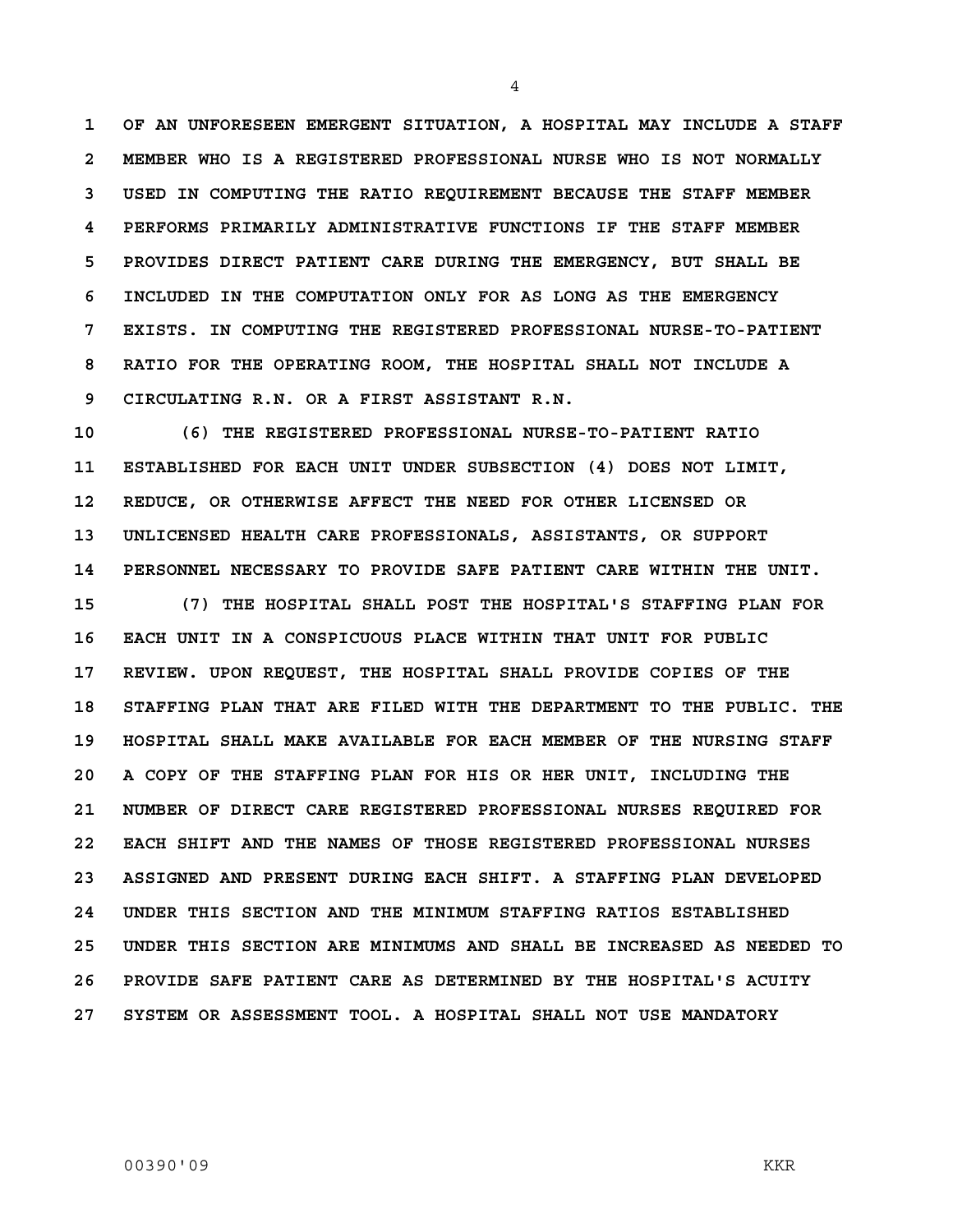**1 OF AN UNFORESEEN EMERGENT SITUATION, A HOSPITAL MAY INCLUDE A STAFF 2 MEMBER WHO IS A REGISTERED PROFESSIONAL NURSE WHO IS NOT NORMALLY 3 USED IN COMPUTING THE RATIO REQUIREMENT BECAUSE THE STAFF MEMBER 4 PERFORMS PRIMARILY ADMINISTRATIVE FUNCTIONS IF THE STAFF MEMBER 5 PROVIDES DIRECT PATIENT CARE DURING THE EMERGENCY, BUT SHALL BE 6 INCLUDED IN THE COMPUTATION ONLY FOR AS LONG AS THE EMERGENCY 7 EXISTS. IN COMPUTING THE REGISTERED PROFESSIONAL NURSE-TO-PATIENT 8 RATIO FOR THE OPERATING ROOM, THE HOSPITAL SHALL NOT INCLUDE A 9 CIRCULATING R.N. OR A FIRST ASSISTANT R.N.** 

**10 (6) THE REGISTERED PROFESSIONAL NURSE-TO-PATIENT RATIO 11 ESTABLISHED FOR EACH UNIT UNDER SUBSECTION (4) DOES NOT LIMIT, 12 REDUCE, OR OTHERWISE AFFECT THE NEED FOR OTHER LICENSED OR 13 UNLICENSED HEALTH CARE PROFESSIONALS, ASSISTANTS, OR SUPPORT 14 PERSONNEL NECESSARY TO PROVIDE SAFE PATIENT CARE WITHIN THE UNIT.** 

**15 (7) THE HOSPITAL SHALL POST THE HOSPITAL'S STAFFING PLAN FOR 16 EACH UNIT IN A CONSPICUOUS PLACE WITHIN THAT UNIT FOR PUBLIC 17 REVIEW. UPON REQUEST, THE HOSPITAL SHALL PROVIDE COPIES OF THE 18 STAFFING PLAN THAT ARE FILED WITH THE DEPARTMENT TO THE PUBLIC. THE 19 HOSPITAL SHALL MAKE AVAILABLE FOR EACH MEMBER OF THE NURSING STAFF 20 A COPY OF THE STAFFING PLAN FOR HIS OR HER UNIT, INCLUDING THE 21 NUMBER OF DIRECT CARE REGISTERED PROFESSIONAL NURSES REQUIRED FOR 22 EACH SHIFT AND THE NAMES OF THOSE REGISTERED PROFESSIONAL NURSES 23 ASSIGNED AND PRESENT DURING EACH SHIFT. A STAFFING PLAN DEVELOPED 24 UNDER THIS SECTION AND THE MINIMUM STAFFING RATIOS ESTABLISHED 25 UNDER THIS SECTION ARE MINIMUMS AND SHALL BE INCREASED AS NEEDED TO 26 PROVIDE SAFE PATIENT CARE AS DETERMINED BY THE HOSPITAL'S ACUITY 27 SYSTEM OR ASSESSMENT TOOL. A HOSPITAL SHALL NOT USE MANDATORY** 

4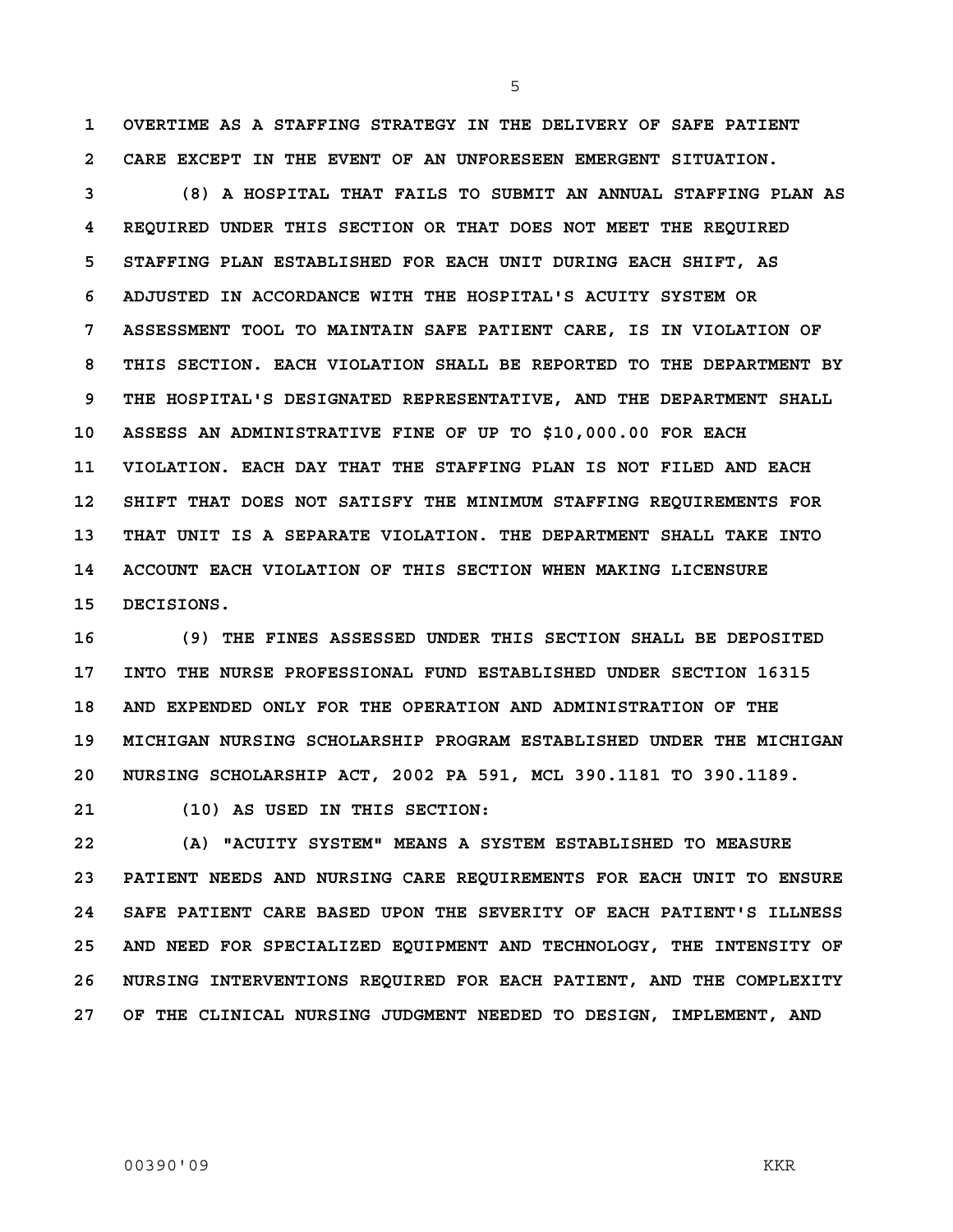**1 OVERTIME AS A STAFFING STRATEGY IN THE DELIVERY OF SAFE PATIENT 2 CARE EXCEPT IN THE EVENT OF AN UNFORESEEN EMERGENT SITUATION.** 

5

**3 (8) A HOSPITAL THAT FAILS TO SUBMIT AN ANNUAL STAFFING PLAN AS 4 REQUIRED UNDER THIS SECTION OR THAT DOES NOT MEET THE REQUIRED 5 STAFFING PLAN ESTABLISHED FOR EACH UNIT DURING EACH SHIFT, AS 6 ADJUSTED IN ACCORDANCE WITH THE HOSPITAL'S ACUITY SYSTEM OR 7 ASSESSMENT TOOL TO MAINTAIN SAFE PATIENT CARE, IS IN VIOLATION OF 8 THIS SECTION. EACH VIOLATION SHALL BE REPORTED TO THE DEPARTMENT BY 9 THE HOSPITAL'S DESIGNATED REPRESENTATIVE, AND THE DEPARTMENT SHALL 10 ASSESS AN ADMINISTRATIVE FINE OF UP TO \$10,000.00 FOR EACH 11 VIOLATION. EACH DAY THAT THE STAFFING PLAN IS NOT FILED AND EACH 12 SHIFT THAT DOES NOT SATISFY THE MINIMUM STAFFING REQUIREMENTS FOR 13 THAT UNIT IS A SEPARATE VIOLATION. THE DEPARTMENT SHALL TAKE INTO 14 ACCOUNT EACH VIOLATION OF THIS SECTION WHEN MAKING LICENSURE 15 DECISIONS.** 

**16 (9) THE FINES ASSESSED UNDER THIS SECTION SHALL BE DEPOSITED 17 INTO THE NURSE PROFESSIONAL FUND ESTABLISHED UNDER SECTION 16315 18 AND EXPENDED ONLY FOR THE OPERATION AND ADMINISTRATION OF THE 19 MICHIGAN NURSING SCHOLARSHIP PROGRAM ESTABLISHED UNDER THE MICHIGAN 20 NURSING SCHOLARSHIP ACT, 2002 PA 591, MCL 390.1181 TO 390.1189.** 

**21 (10) AS USED IN THIS SECTION:** 

**22 (A) "ACUITY SYSTEM" MEANS A SYSTEM ESTABLISHED TO MEASURE 23 PATIENT NEEDS AND NURSING CARE REQUIREMENTS FOR EACH UNIT TO ENSURE 24 SAFE PATIENT CARE BASED UPON THE SEVERITY OF EACH PATIENT'S ILLNESS 25 AND NEED FOR SPECIALIZED EQUIPMENT AND TECHNOLOGY, THE INTENSITY OF 26 NURSING INTERVENTIONS REQUIRED FOR EACH PATIENT, AND THE COMPLEXITY 27 OF THE CLINICAL NURSING JUDGMENT NEEDED TO DESIGN, IMPLEMENT, AND**